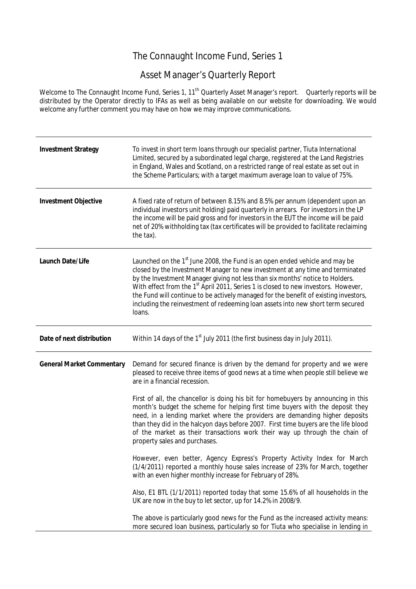## The Connaught Income Fund, Series 1

## Asset Manager's Quarterly Report

Welcome to The Connaught Income Fund, Series 1, 11<sup>th</sup> Quarterly Asset Manager's report. Quarterly reports will be distributed by the Operator directly to IFAs as well as being available on our website for downloading. We would welcome any further comment you may have on how we may improve communications.

| <b>Investment Strategy</b>       | To invest in short term loans through our specialist partner, Tiuta International<br>Limited, secured by a subordinated legal charge, registered at the Land Registries<br>in England, Wales and Scotland, on a restricted range of real estate as set out in<br>the Scheme Particulars; with a target maximum average loan to value of 75%.                                                                                                                                                                                                     |
|----------------------------------|--------------------------------------------------------------------------------------------------------------------------------------------------------------------------------------------------------------------------------------------------------------------------------------------------------------------------------------------------------------------------------------------------------------------------------------------------------------------------------------------------------------------------------------------------|
| <b>Investment Objective</b>      | A fixed rate of return of between 8.15% and 8.5% per annum (dependent upon an<br>individual investors unit holding) paid quarterly in arrears. For investors in the LP<br>the income will be paid gross and for investors in the EUT the income will be paid<br>net of 20% withholding tax (tax certificates will be provided to facilitate reclaiming<br>the tax).                                                                                                                                                                              |
| <b>Launch Date/Life</b>          | Launched on the 1 <sup>st</sup> June 2008, the Fund is an open ended vehicle and may be<br>closed by the Investment Manager to new investment at any time and terminated<br>by the Investment Manager giving not less than six months' notice to Holders.<br>With effect from the 1 <sup>st</sup> April 2011, Series 1 is closed to new investors. However,<br>the Fund will continue to be actively managed for the benefit of existing investors,<br>including the reinvestment of redeeming loan assets into new short term secured<br>loans. |
| Date of next distribution        | Within 14 days of the 1 <sup>st</sup> July 2011 (the first business day in July 2011).                                                                                                                                                                                                                                                                                                                                                                                                                                                           |
| <b>General Market Commentary</b> | Demand for secured finance is driven by the demand for property and we were<br>pleased to receive three items of good news at a time when people still believe we<br>are in a financial recession.                                                                                                                                                                                                                                                                                                                                               |
|                                  | First of all, the chancellor is doing his bit for homebuyers by announcing in this<br>month's budget the scheme for helping first time buyers with the deposit they<br>need, in a lending market where the providers are demanding higher deposits<br>than they did in the halcyon days before 2007. First time buyers are the life blood<br>of the market as their transactions work their way up through the chain of<br>property sales and purchases.                                                                                         |
|                                  | However, even better, Agency Express's Property Activity Index for March<br>(1/4/2011) reported a monthly house sales increase of 23% for March, together<br>with an even higher monthly increase for February of 28%.                                                                                                                                                                                                                                                                                                                           |
|                                  | Also, E1 BTL (1/1/2011) reported today that some 15.6% of all households in the<br>UK are now in the buy to let sector, up for 14.2% in 2008/9.                                                                                                                                                                                                                                                                                                                                                                                                  |
|                                  | The above is particularly good news for the Fund as the increased activity means:<br>more secured loan business, particularly so for Tiuta who specialise in lending in                                                                                                                                                                                                                                                                                                                                                                          |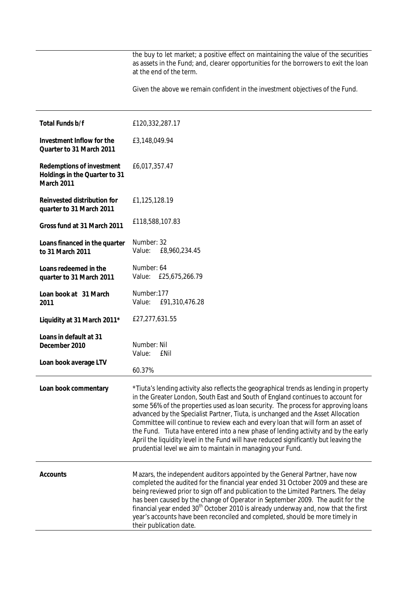the buy to let market; a positive effect on maintaining the value of the securities as assets in the Fund; and, clearer opportunities for the borrowers to exit the loan at the end of the term.

Given the above we remain confident in the investment objectives of the Fund.

| <b>Total Funds b/f</b>                                                                 | £120,332,287.17                                                                                                                                                                                                                                                                                                                                                                                                                                                                                                                                                                                                                                                                     |
|----------------------------------------------------------------------------------------|-------------------------------------------------------------------------------------------------------------------------------------------------------------------------------------------------------------------------------------------------------------------------------------------------------------------------------------------------------------------------------------------------------------------------------------------------------------------------------------------------------------------------------------------------------------------------------------------------------------------------------------------------------------------------------------|
| Investment Inflow for the<br>Quarter to 31 March 2011                                  | £3,148,049.94                                                                                                                                                                                                                                                                                                                                                                                                                                                                                                                                                                                                                                                                       |
| <b>Redemptions of investment</b><br>Holdings in the Quarter to 31<br><b>March 2011</b> | £6,017,357.47                                                                                                                                                                                                                                                                                                                                                                                                                                                                                                                                                                                                                                                                       |
| <b>Reinvested distribution for</b><br>quarter to 31 March 2011                         | £1,125,128.19                                                                                                                                                                                                                                                                                                                                                                                                                                                                                                                                                                                                                                                                       |
| Gross fund at 31 March 2011                                                            | £118,588,107.83                                                                                                                                                                                                                                                                                                                                                                                                                                                                                                                                                                                                                                                                     |
| Loans financed in the quarter<br>to 31 March 2011                                      | Number: 32<br>Value:<br>£8,960,234.45                                                                                                                                                                                                                                                                                                                                                                                                                                                                                                                                                                                                                                               |
| Loans redeemed in the<br>quarter to 31 March 2011                                      | Number: 64<br>Value: £25,675,266.79                                                                                                                                                                                                                                                                                                                                                                                                                                                                                                                                                                                                                                                 |
| Loan book at 31 March<br>2011                                                          | Number: 177<br>Value:<br>£91,310,476.28                                                                                                                                                                                                                                                                                                                                                                                                                                                                                                                                                                                                                                             |
| Liquidity at 31 March 2011*                                                            | £27,277,631.55                                                                                                                                                                                                                                                                                                                                                                                                                                                                                                                                                                                                                                                                      |
| Loans in default at 31<br>December 2010                                                | Number: Nil<br>Value:<br>£Nil                                                                                                                                                                                                                                                                                                                                                                                                                                                                                                                                                                                                                                                       |
| Loan book average LTV                                                                  | 60.37%                                                                                                                                                                                                                                                                                                                                                                                                                                                                                                                                                                                                                                                                              |
| Loan book commentary                                                                   | *Tiuta's lending activity also reflects the geographical trends as lending in property<br>in the Greater London, South East and South of England continues to account for<br>some 56% of the properties used as loan security. The process for approving loans<br>advanced by the Specialist Partner, Tiuta, is unchanged and the Asset Allocation<br>Committee will continue to review each and every loan that will form an asset of<br>the Fund. Tiuta have entered into a new phase of lending activity and by the early<br>April the liquidity level in the Fund will have reduced significantly but leaving the<br>prudential level we aim to maintain in managing your Fund. |
| <b>Accounts</b>                                                                        | Mazars, the independent auditors appointed by the General Partner, have now<br>completed the audited for the financial year ended 31 October 2009 and these are<br>being reviewed prior to sign off and publication to the Limited Partners. The delay<br>has been caused by the change of Operator in September 2009. The audit for the<br>financial year ended 30 <sup>th</sup> October 2010 is already underway and, now that the first<br>year's accounts have been reconciled and completed, should be more timely in<br>their publication date.                                                                                                                               |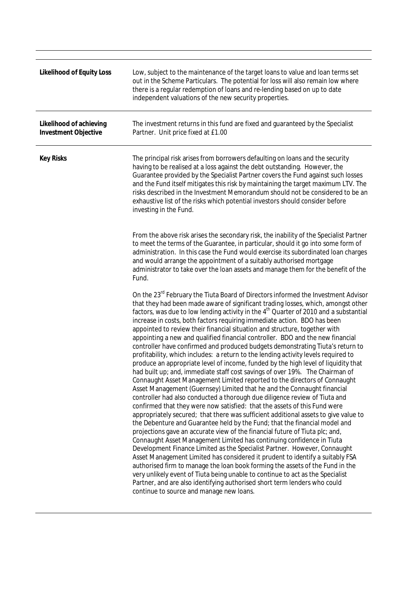| <b>Likelihood of Equity Loss</b>                       | Low, subject to the maintenance of the target loans to value and loan terms set<br>out in the Scheme Particulars. The potential for loss will also remain low where<br>there is a regular redemption of loans and re-lending based on up to date<br>independent valuations of the new security properties.                                                                                                                                                                                                                                                                                                                                                                                                                                                                                                                                                                                                                                                                                                                                                                                                                                                                                                                                                                                                                                                                                                                                                                                                                                                                                                                                                                                                                                                                                                                                                                                                                                                                       |
|--------------------------------------------------------|----------------------------------------------------------------------------------------------------------------------------------------------------------------------------------------------------------------------------------------------------------------------------------------------------------------------------------------------------------------------------------------------------------------------------------------------------------------------------------------------------------------------------------------------------------------------------------------------------------------------------------------------------------------------------------------------------------------------------------------------------------------------------------------------------------------------------------------------------------------------------------------------------------------------------------------------------------------------------------------------------------------------------------------------------------------------------------------------------------------------------------------------------------------------------------------------------------------------------------------------------------------------------------------------------------------------------------------------------------------------------------------------------------------------------------------------------------------------------------------------------------------------------------------------------------------------------------------------------------------------------------------------------------------------------------------------------------------------------------------------------------------------------------------------------------------------------------------------------------------------------------------------------------------------------------------------------------------------------------|
| Likelihood of achieving<br><b>Investment Objective</b> | The investment returns in this fund are fixed and guaranteed by the Specialist<br>Partner. Unit price fixed at £1.00                                                                                                                                                                                                                                                                                                                                                                                                                                                                                                                                                                                                                                                                                                                                                                                                                                                                                                                                                                                                                                                                                                                                                                                                                                                                                                                                                                                                                                                                                                                                                                                                                                                                                                                                                                                                                                                             |
| <b>Key Risks</b>                                       | The principal risk arises from borrowers defaulting on loans and the security<br>having to be realised at a loss against the debt outstanding. However, the<br>Guarantee provided by the Specialist Partner covers the Fund against such losses<br>and the Fund itself mitigates this risk by maintaining the target maximum LTV. The<br>risks described in the Investment Memorandum should not be considered to be an<br>exhaustive list of the risks which potential investors should consider before<br>investing in the Fund.                                                                                                                                                                                                                                                                                                                                                                                                                                                                                                                                                                                                                                                                                                                                                                                                                                                                                                                                                                                                                                                                                                                                                                                                                                                                                                                                                                                                                                               |
|                                                        | From the above risk arises the secondary risk, the inability of the Specialist Partner<br>to meet the terms of the Guarantee, in particular, should it go into some form of<br>administration. In this case the Fund would exercise its subordinated loan charges<br>and would arrange the appointment of a suitably authorised mortgage<br>administrator to take over the loan assets and manage them for the benefit of the<br>Fund.                                                                                                                                                                                                                                                                                                                                                                                                                                                                                                                                                                                                                                                                                                                                                                                                                                                                                                                                                                                                                                                                                                                                                                                                                                                                                                                                                                                                                                                                                                                                           |
|                                                        | On the 23rd February the Tiuta Board of Directors informed the Investment Advisor<br>that they had been made aware of significant trading losses, which, amongst other<br>factors, was due to low lending activity in the 4 <sup>th</sup> Quarter of 2010 and a substantial<br>increase in costs, both factors requiring immediate action. BDO has been<br>appointed to review their financial situation and structure, together with<br>appointing a new and qualified financial controller. BDO and the new financial<br>controller have confirmed and produced budgets demonstrating Tiuta's return to<br>profitability, which includes: a return to the lending activity levels required to<br>produce an appropriate level of income, funded by the high level of liquidity that<br>had built up; and, immediate staff cost savings of over 19%. The Chairman of<br>Connaught Asset Management Limited reported to the directors of Connaught<br>Asset Management (Guernsey) Limited that he and the Connaught financial<br>controller had also conducted a thorough due diligence review of Tiuta and<br>confirmed that they were now satisfied: that the assets of this Fund were<br>appropriately secured; that there was sufficient additional assets to give value to<br>the Debenture and Guarantee held by the Fund; that the financial model and<br>projections gave an accurate view of the financial future of Tiuta plc; and,<br>Connaught Asset Management Limited has continuing confidence in Tiuta<br>Development Finance Limited as the Specialist Partner. However, Connaught<br>Asset Management Limited has considered it prudent to identify a suitably FSA<br>authorised firm to manage the loan book forming the assets of the Fund in the<br>very unlikely event of Tiuta being unable to continue to act as the Specialist<br>Partner, and are also identifying authorised short term lenders who could<br>continue to source and manage new loans. |